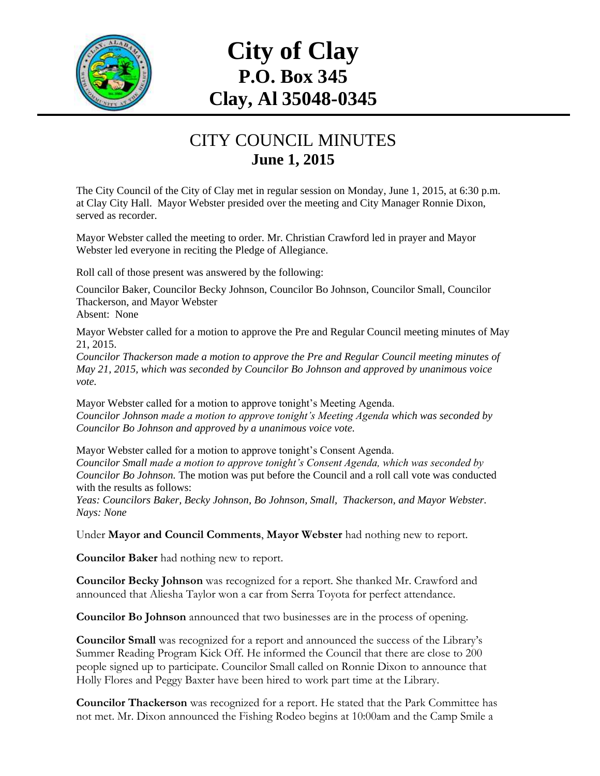

## **City of Clay P.O. Box 345 Clay, Al 35048-0345**

## CITY COUNCIL MINUTES **June 1, 2015**

The City Council of the City of Clay met in regular session on Monday, June 1, 2015, at 6:30 p.m. at Clay City Hall. Mayor Webster presided over the meeting and City Manager Ronnie Dixon, served as recorder.

Mayor Webster called the meeting to order. Mr. Christian Crawford led in prayer and Mayor Webster led everyone in reciting the Pledge of Allegiance.

Roll call of those present was answered by the following:

Councilor Baker, Councilor Becky Johnson, Councilor Bo Johnson, Councilor Small, Councilor Thackerson, and Mayor Webster

Absent: None

Mayor Webster called for a motion to approve the Pre and Regular Council meeting minutes of May 21, 2015.

*Councilor Thackerson made a motion to approve the Pre and Regular Council meeting minutes of May 21, 2015, which was seconded by Councilor Bo Johnson and approved by unanimous voice vote.*

Mayor Webster called for a motion to approve tonight's Meeting Agenda. *Councilor Johnson made a motion to approve tonight's Meeting Agenda which was seconded by Councilor Bo Johnson and approved by a unanimous voice vote.*

Mayor Webster called for a motion to approve tonight's Consent Agenda. *Councilor Small made a motion to approve tonight's Consent Agenda, which was seconded by Councilor Bo Johnson.* The motion was put before the Council and a roll call vote was conducted with the results as follows:

*Yeas: Councilors Baker, Becky Johnson, Bo Johnson, Small, Thackerson, and Mayor Webster. Nays: None*

Under **Mayor and Council Comments**, **Mayor Webster** had nothing new to report.

**Councilor Baker** had nothing new to report.

**Councilor Becky Johnson** was recognized for a report. She thanked Mr. Crawford and announced that Aliesha Taylor won a car from Serra Toyota for perfect attendance.

**Councilor Bo Johnson** announced that two businesses are in the process of opening.

**Councilor Small** was recognized for a report and announced the success of the Library's Summer Reading Program Kick Off. He informed the Council that there are close to 200 people signed up to participate. Councilor Small called on Ronnie Dixon to announce that Holly Flores and Peggy Baxter have been hired to work part time at the Library.

**Councilor Thackerson** was recognized for a report. He stated that the Park Committee has not met. Mr. Dixon announced the Fishing Rodeo begins at 10:00am and the Camp Smile a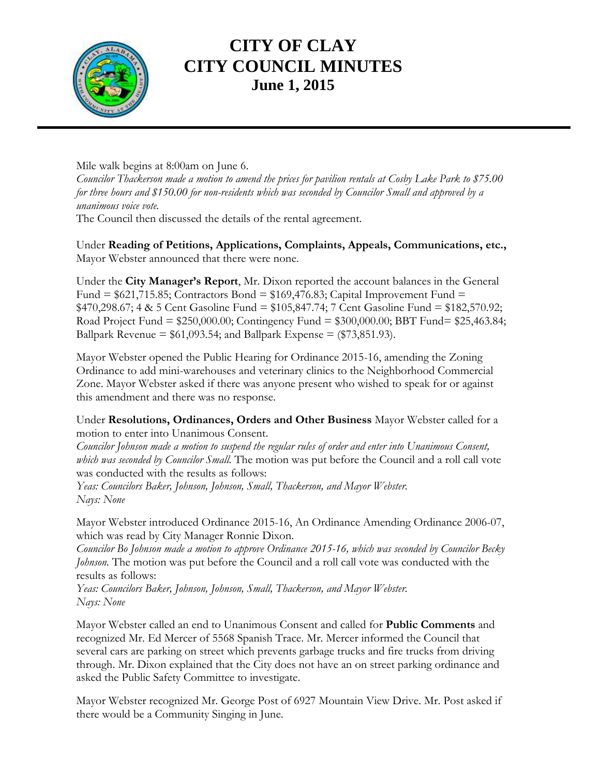

## **CITY OF CLAY CITY COUNCIL MINUTES June 1, 2015**

Mile walk begins at 8:00am on June 6.

*Councilor Thackerson made a motion to amend the prices for pavilion rentals at Cosby Lake Park to \$75.00 for three hours and \$150.00 for non-residents which was seconded by Councilor Small and approved by a unanimous voice vote.*

The Council then discussed the details of the rental agreement.

Under **Reading of Petitions, Applications, Complaints, Appeals, Communications, etc.,** Mayor Webster announced that there were none.

Under the **City Manager's Report**, Mr. Dixon reported the account balances in the General Fund =  $$621,715.85$ ; Contractors Bond =  $$169,476.83$ ; Capital Improvement Fund = \$470,298.67; 4 & 5 Cent Gasoline Fund = \$105,847.74; 7 Cent Gasoline Fund = \$182,570.92; Road Project Fund = \$250,000.00; Contingency Fund = \$300,000.00; BBT Fund= \$25,463.84; Ballpark Revenue =  $$61,093.54$ ; and Ballpark Expense =  $$73,851.93$ ).

Mayor Webster opened the Public Hearing for Ordinance 2015-16, amending the Zoning Ordinance to add mini-warehouses and veterinary clinics to the Neighborhood Commercial Zone. Mayor Webster asked if there was anyone present who wished to speak for or against this amendment and there was no response.

Under **Resolutions, Ordinances, Orders and Other Business** Mayor Webster called for a motion to enter into Unanimous Consent.

*Councilor Johnson made a motion to suspend the regular rules of order and enter into Unanimous Consent, which was seconded by Councilor Small.* The motion was put before the Council and a roll call vote was conducted with the results as follows:

*Yeas: Councilors Baker, Johnson, Johnson, Small, Thackerson, and Mayor Webster. Nays: None*

Mayor Webster introduced Ordinance 2015-16, An Ordinance Amending Ordinance 2006-07, which was read by City Manager Ronnie Dixon.

*Councilor Bo Johnson made a motion to approve Ordinance 2015-16, which was seconded by Councilor Becky Johnson.* The motion was put before the Council and a roll call vote was conducted with the results as follows:

*Yeas: Councilors Baker, Johnson, Johnson, Small, Thackerson, and Mayor Webster. Nays: None*

Mayor Webster called an end to Unanimous Consent and called for **Public Comments** and recognized Mr. Ed Mercer of 5568 Spanish Trace. Mr. Mercer informed the Council that several cars are parking on street which prevents garbage trucks and fire trucks from driving through. Mr. Dixon explained that the City does not have an on street parking ordinance and asked the Public Safety Committee to investigate.

Mayor Webster recognized Mr. George Post of 6927 Mountain View Drive. Mr. Post asked if there would be a Community Singing in June.